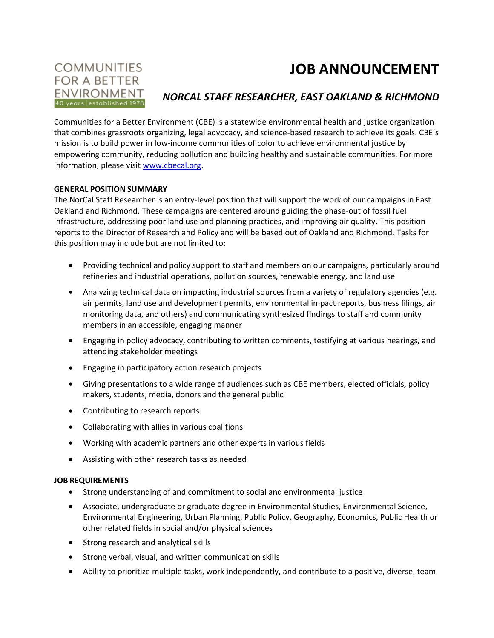# **JOB ANNOUNCEMENT**

### **COMMUNITIES FOR A BETTER ENVIRONMENT** 40 years established 1978

## *NORCAL STAFF RESEARCHER, EAST OAKLAND & RICHMOND*

Communities for a Better Environment (CBE) is a statewide environmental health and justice organization that combines grassroots organizing, legal advocacy, and science-based research to achieve its goals. CBE's mission is to build power in low-income communities of color to achieve environmental justice by empowering community, reducing pollution and building healthy and sustainable communities. For more information, please visit [www.cbecal.org.](http://www.cbecal.org/)

#### **GENERAL POSITION SUMMARY**

The NorCal Staff Researcher is an entry-level position that will support the work of our campaigns in East Oakland and Richmond. These campaigns are centered around guiding the phase-out of fossil fuel infrastructure, addressing poor land use and planning practices, and improving air quality. This position reports to the Director of Research and Policy and will be based out of Oakland and Richmond. Tasks for this position may include but are not limited to:

- Providing technical and policy support to staff and members on our campaigns, particularly around refineries and industrial operations, pollution sources, renewable energy, and land use
- Analyzing technical data on impacting industrial sources from a variety of regulatory agencies (e.g. air permits, land use and development permits, environmental impact reports, business filings, air monitoring data, and others) and communicating synthesized findings to staff and community members in an accessible, engaging manner
- Engaging in policy advocacy, contributing to written comments, testifying at various hearings, and attending stakeholder meetings
- Engaging in participatory action research projects
- Giving presentations to a wide range of audiences such as CBE members, elected officials, policy makers, students, media, donors and the general public
- Contributing to research reports
- Collaborating with allies in various coalitions
- Working with academic partners and other experts in various fields
- Assisting with other research tasks as needed

#### **JOB REQUIREMENTS**

- Strong understanding of and commitment to social and environmental justice
- Associate, undergraduate or graduate degree in Environmental Studies, Environmental Science, Environmental Engineering, Urban Planning, Public Policy, Geography, Economics, Public Health or other related fields in social and/or physical sciences
- Strong research and analytical skills
- Strong verbal, visual, and written communication skills
- Ability to prioritize multiple tasks, work independently, and contribute to a positive, diverse, team-